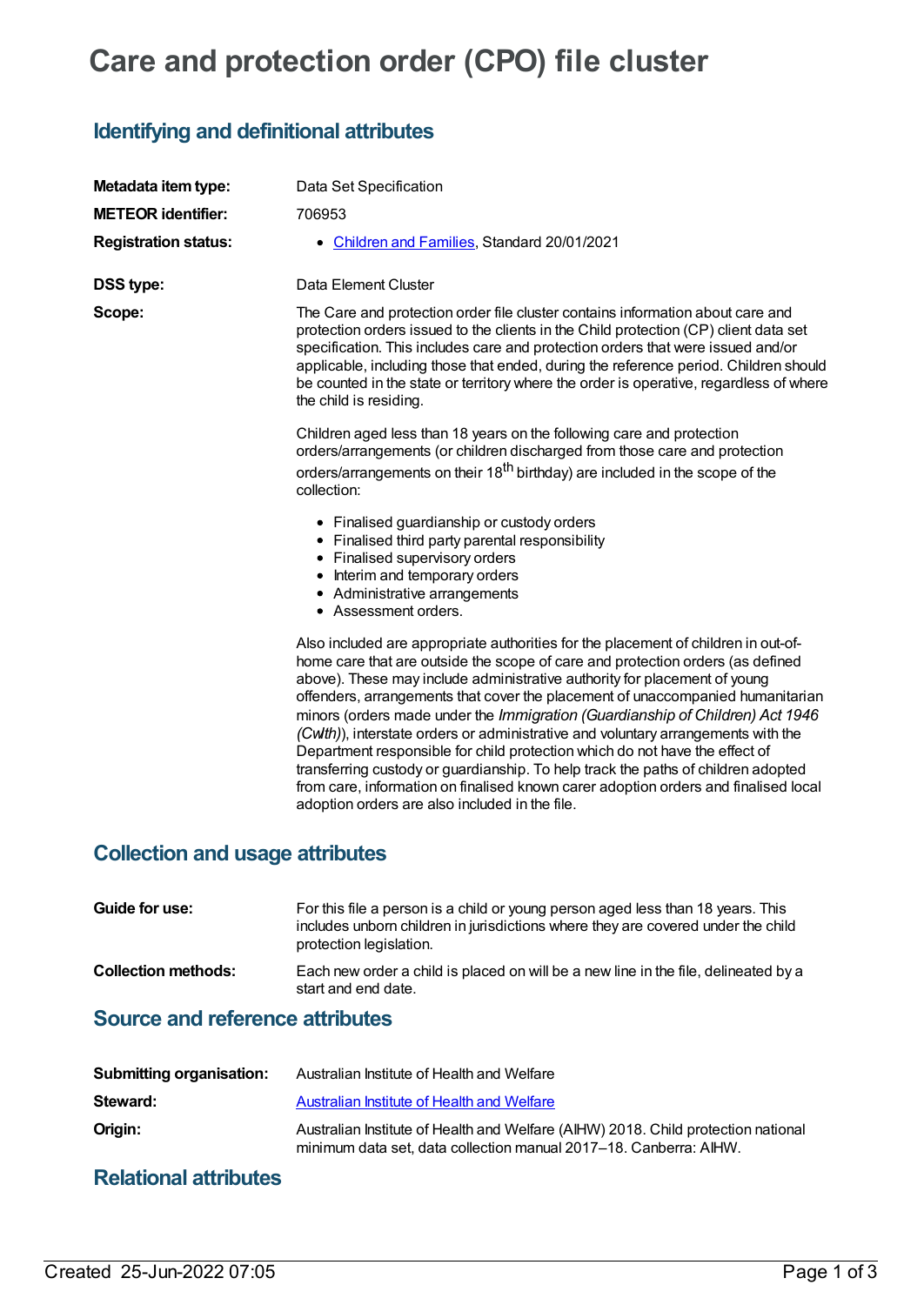# **Care and protection order (CPO) file cluster**

## **Identifying and definitional attributes**

| Metadata item type:         | Data Set Specification                                                                                                                                                                                                                                                                                                                                                                                                                                                                                                                                                                                                                                                                                                                                                                                                 |
|-----------------------------|------------------------------------------------------------------------------------------------------------------------------------------------------------------------------------------------------------------------------------------------------------------------------------------------------------------------------------------------------------------------------------------------------------------------------------------------------------------------------------------------------------------------------------------------------------------------------------------------------------------------------------------------------------------------------------------------------------------------------------------------------------------------------------------------------------------------|
| <b>METEOR</b> identifier:   | 706953                                                                                                                                                                                                                                                                                                                                                                                                                                                                                                                                                                                                                                                                                                                                                                                                                 |
| <b>Registration status:</b> | Children and Families, Standard 20/01/2021<br>$\bullet$                                                                                                                                                                                                                                                                                                                                                                                                                                                                                                                                                                                                                                                                                                                                                                |
| <b>DSS type:</b>            | Data Element Cluster                                                                                                                                                                                                                                                                                                                                                                                                                                                                                                                                                                                                                                                                                                                                                                                                   |
| Scope:                      | The Care and protection order file cluster contains information about care and<br>protection orders issued to the clients in the Child protection (CP) client data set<br>specification. This includes care and protection orders that were issued and/or<br>applicable, including those that ended, during the reference period. Children should<br>be counted in the state or territory where the order is operative, regardless of where<br>the child is residing.                                                                                                                                                                                                                                                                                                                                                  |
|                             | Children aged less than 18 years on the following care and protection<br>orders/arrangements (or children discharged from those care and protection<br>orders/arrangements on their 18 <sup>th</sup> birthday) are included in the scope of the<br>collection:                                                                                                                                                                                                                                                                                                                                                                                                                                                                                                                                                         |
|                             | • Finalised guardianship or custody orders<br>• Finalised third party parental responsibility<br>• Finalised supervisory orders<br>• Interim and temporary orders<br>• Administrative arrangements<br>• Assessment orders.                                                                                                                                                                                                                                                                                                                                                                                                                                                                                                                                                                                             |
|                             | Also included are appropriate authorities for the placement of children in out-of-<br>home care that are outside the scope of care and protection orders (as defined<br>above). These may include administrative authority for placement of young<br>offenders, arrangements that cover the placement of unaccompanied humanitarian<br>minors (orders made under the Immigration (Guardianship of Children) Act 1946<br>(Cwlth)), interstate orders or administrative and voluntary arrangements with the<br>Department responsible for child protection which do not have the effect of<br>transferring custody or guardianship. To help track the paths of children adopted<br>from care, information on finalised known carer adoption orders and finalised local<br>adoption orders are also included in the file. |

#### **Collection and usage attributes**

| Guide for use:             | For this file a person is a child or young person aged less than 18 years. This<br>includes unborn children in jurisdictions where they are covered under the child<br>protection legislation. |
|----------------------------|------------------------------------------------------------------------------------------------------------------------------------------------------------------------------------------------|
| <b>Collection methods:</b> | Each new order a child is placed on will be a new line in the file, delineated by a<br>start and end date.                                                                                     |

#### **Source and reference attributes**

| <b>Submitting organisation:</b> | Australian Institute of Health and Welfare                                                                                                             |
|---------------------------------|--------------------------------------------------------------------------------------------------------------------------------------------------------|
| Steward:                        | Australian Institute of Health and Welfare                                                                                                             |
| Origin:                         | Australian Institute of Health and Welfare (AIHW) 2018. Child protection national<br>minimum data set, data collection manual 2017–18. Canberra: AIHW. |

### **Relational attributes**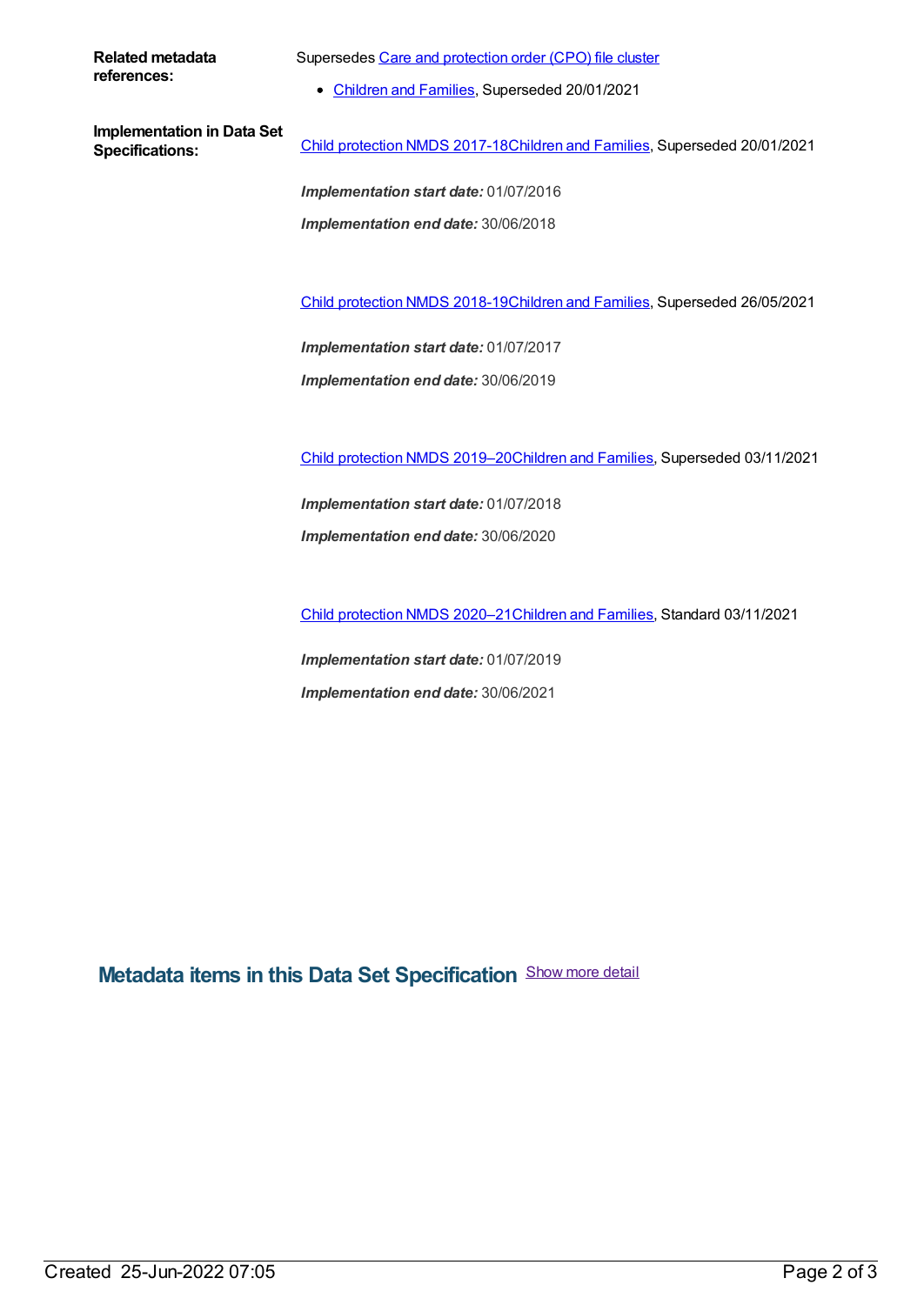**Related metadata references:**

Supersedes Care and [protection](https://meteor.aihw.gov.au/content/688438) order (CPO) file cluster

• [Children](https://meteor.aihw.gov.au/RegistrationAuthority/17) and Families, Superseded 20/01/2021

**Implementation in Data Set**

**Specifications:** Child [protection](https://meteor.aihw.gov.au/content/706929) NMDS 2017-18[Children](https://meteor.aihw.gov.au/RegistrationAuthority/17) and Families, Superseded 20/01/2021

*Implementation start date:* 01/07/2016 *Implementation end date:* 30/06/2018

Child [protection](https://meteor.aihw.gov.au/content/726951) NMDS 2018-19[Children](https://meteor.aihw.gov.au/RegistrationAuthority/17) and Families, Superseded 26/05/2021

*Implementation start date:* 01/07/2017

*Implementation end date:* 30/06/2019

Child [protection](https://meteor.aihw.gov.au/content/740158) NMDS 2019–2[0Children](https://meteor.aihw.gov.au/RegistrationAuthority/17) and Families, Superseded 03/11/2021

*Implementation start date:* 01/07/2018 *Implementation end date:* 30/06/2020

Child [protection](https://meteor.aihw.gov.au/content/748197) NMDS 2020–2[1Children](https://meteor.aihw.gov.au/RegistrationAuthority/17) and Families, Standard 03/11/2021

*Implementation start date:* 01/07/2019 *Implementation end date:* 30/06/2021

**Metadata items in this Data Set Specification** Show more detail